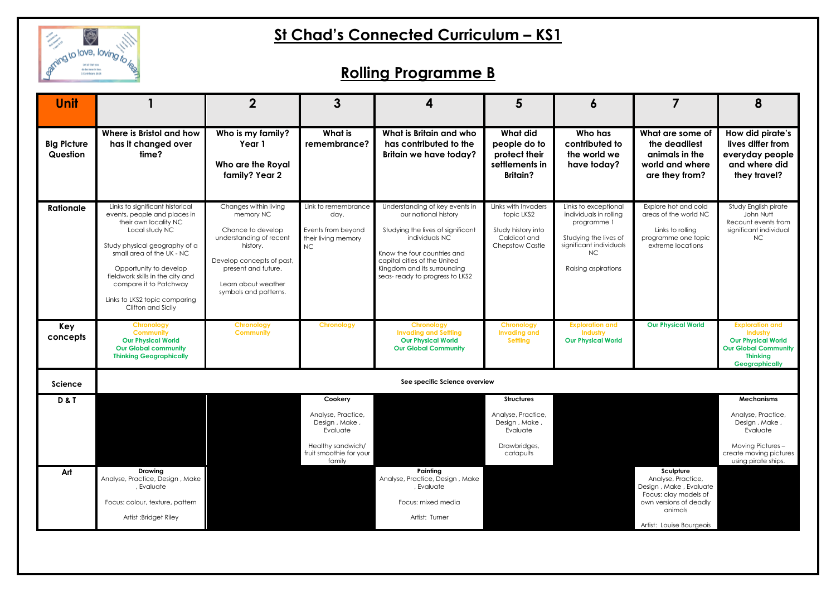

# **St Chad's Connected Curriculum – KS1**

# **Rolling Programme B**

| <b>Unit</b>                    |                                                                                                                                                                                                                                                                                                                         | 2                                                                                                                                                                                                  | 3                                                                                                                    | $\boldsymbol{4}$                                                                                                                                                                                                                              | 5                                                                                                 | 6                                                                                                                                              |                                                                                                                                                     | 8                                                                                                                                          |
|--------------------------------|-------------------------------------------------------------------------------------------------------------------------------------------------------------------------------------------------------------------------------------------------------------------------------------------------------------------------|----------------------------------------------------------------------------------------------------------------------------------------------------------------------------------------------------|----------------------------------------------------------------------------------------------------------------------|-----------------------------------------------------------------------------------------------------------------------------------------------------------------------------------------------------------------------------------------------|---------------------------------------------------------------------------------------------------|------------------------------------------------------------------------------------------------------------------------------------------------|-----------------------------------------------------------------------------------------------------------------------------------------------------|--------------------------------------------------------------------------------------------------------------------------------------------|
| <b>Big Picture</b><br>Question | Where is Bristol and how<br>has it changed over<br>time?                                                                                                                                                                                                                                                                | Who is my family?<br>Year 1<br>Who are the Royal<br>family? Year 2                                                                                                                                 | What is<br>remembrance?                                                                                              | What is Britain and who<br>has contributed to the<br><b>Britain we have today?</b>                                                                                                                                                            | What did<br>people do to<br>protect their<br>settlements in<br><b>Britain?</b>                    | Who has<br>contributed to<br>the world we<br>have today?                                                                                       | What are some of<br>the deadliest<br>animals in the<br>world and where<br>are they from?                                                            | How did pirate's<br>lives differ from<br>everyday people<br>and where did<br>they travel?                                                  |
| <b>Rationale</b>               | Links to significant historical<br>events, people and places in<br>their own locality NC<br>Local study NC<br>Study physical geography of a<br>small area of the UK - NC<br>Opportunity to develop<br>fieldwork skills in the city and<br>compare it to Patchway<br>Links to LKS2 topic comparing<br>Clifton and Sicily | Changes within living<br>memory NC<br>Chance to develop<br>understanding of recent<br>history.<br>Develop concepts of past,<br>present and future.<br>Learn about weather<br>symbols and patterns. | Link to remembrance<br>day.<br>Events from beyond<br>their living memory<br><b>NC</b>                                | Understanding of key events in<br>our national history<br>Studying the lives of significant<br>individuals NC<br>Know the four countries and<br>capital cities of the United<br>Kingdom and its surrounding<br>seas-ready to progress to LKS2 | Links with Invaders<br>topic LKS2<br>Study history into<br>Caldicot and<br><b>Chepstow Castle</b> | Links to exceptional<br>individuals in rolling<br>programme 1<br>Studying the lives of<br>significant individuals<br>NC<br>Raising aspirations | Explore hot and cold<br>areas of the world NC<br>Links to rolling<br>programme one topic<br>extreme locations                                       | Study English pirate<br>John Nutt<br>Recount events from<br>significant individual<br><b>NC</b>                                            |
| Key<br>concepts                | Chronology<br><b>Community</b><br><b>Our Physical World</b><br><b>Our Global community</b><br><b>Thinking Geographically</b>                                                                                                                                                                                            | Chronology<br><b>Community</b>                                                                                                                                                                     | <b>Chronology</b>                                                                                                    | <b>Chronology</b><br><b>Invading and Settling</b><br><b>Our Physical World</b><br><b>Our Global Community</b>                                                                                                                                 | <b>Chronology</b><br><b>Invading and</b><br><b>Settling</b>                                       | <b>Exploration and</b><br>Industry<br><b>Our Physical World</b>                                                                                | <b>Our Physical World</b>                                                                                                                           | <b>Exploration and</b><br>Industry<br><b>Our Physical World</b><br><b>Our Global Community</b><br><b>Thinking</b><br><b>Geographically</b> |
| <b>Science</b>                 | See specific Science overview                                                                                                                                                                                                                                                                                           |                                                                                                                                                                                                    |                                                                                                                      |                                                                                                                                                                                                                                               |                                                                                                   |                                                                                                                                                |                                                                                                                                                     |                                                                                                                                            |
| <b>D&amp;T</b>                 |                                                                                                                                                                                                                                                                                                                         |                                                                                                                                                                                                    | Cookery<br>Analyse, Practice,<br>Design, Make,<br>Evaluate<br>Healthy sandwich/<br>fruit smoothie for your<br>family |                                                                                                                                                                                                                                               | <b>Structures</b><br>Analyse, Practice,<br>Design, Make,<br>Evaluate<br>Drawbridges,<br>catapults |                                                                                                                                                |                                                                                                                                                     | <b>Mechanisms</b><br>Analyse, Practice,<br>Design, Make,<br>Evaluate<br>Moving Pictures-<br>create moving pictures<br>using pirate ships.  |
| Art                            | <b>Drawing</b><br>Analyse, Practice, Design, Make<br>, Evaluate<br>Focus: colour, texture, pattern<br>Artist :Bridget Riley                                                                                                                                                                                             |                                                                                                                                                                                                    |                                                                                                                      | Painting<br>Analyse, Practice, Design, Make<br>, Evaluate<br>Focus: mixed media<br>Artist: Turner                                                                                                                                             |                                                                                                   |                                                                                                                                                | Sculpture<br>Analyse, Practice,<br>Design, Make, Evaluate<br>Focus: clay models of<br>own versions of deadly<br>animals<br>Artist: Louise Bourgeois |                                                                                                                                            |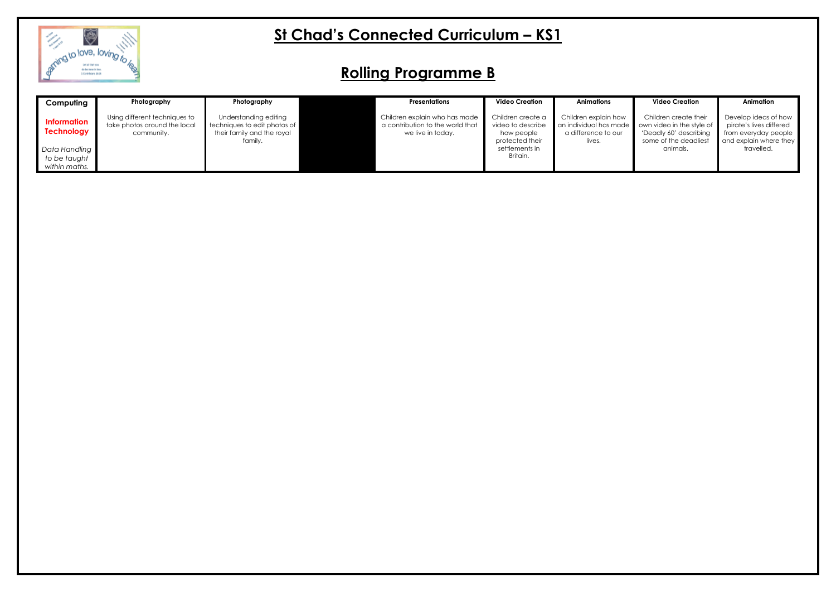

# **St Chad's Connected Curriculum – KS1**

### **Rolling Programme B**

| Computing                                      | Photography                                                                 | Photography                                                                                    | <b>Presentations</b>                                                                   | <b>Video Creation</b>                                                   | <b>Animations</b>                                                               |
|------------------------------------------------|-----------------------------------------------------------------------------|------------------------------------------------------------------------------------------------|----------------------------------------------------------------------------------------|-------------------------------------------------------------------------|---------------------------------------------------------------------------------|
| <b>Information</b><br><b>Technology</b>        | Using different techniques to<br>take photos around the local<br>community. | Understanding editing<br>techniques to edit photos of<br>their family and the royal<br>family. | Children explain who has made<br>a contribution to the world that<br>we live in today. | Children create a<br>video to describe<br>how people<br>protected their | Children explain how<br>an individual has made<br>a difference to our<br>lives. |
| Data Handling<br>to be taught<br>within maths. |                                                                             |                                                                                                |                                                                                        | settlements in<br>Britain.                                              |                                                                                 |

### **Video Creation**

Children create their own video in the style of 'Deadly 60' describing some of the deadliest animals.

### **Animation**

Develop ideas of how pirate's lives differed from everyday people and explain where they travelled.